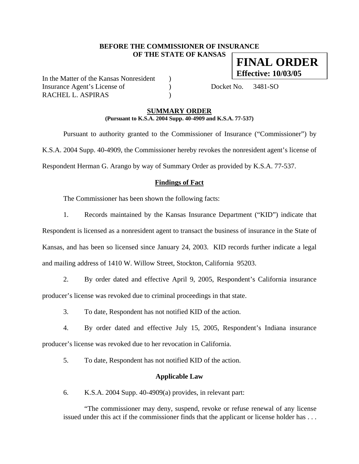## **BEFORE THE COMMISSIONER OF INSURANCE OF THE STATE OF KANSAS FINAL ORDER**

In the Matter of the Kansas Nonresident ) Insurance Agent's License of (a) Docket No. 3481-SO RACHEL L. ASPIRAS (1993)

**Effective: 10/03/05**

## **SUMMARY ORDER (Pursuant to K.S.A. 2004 Supp. 40-4909 and K.S.A. 77-537)**

 Pursuant to authority granted to the Commissioner of Insurance ("Commissioner") by K.S.A. 2004 Supp. 40-4909, the Commissioner hereby revokes the nonresident agent's license of Respondent Herman G. Arango by way of Summary Order as provided by K.S.A. 77-537.

# **Findings of Fact**

The Commissioner has been shown the following facts:

1. Records maintained by the Kansas Insurance Department ("KID") indicate that

Respondent is licensed as a nonresident agent to transact the business of insurance in the State of Kansas, and has been so licensed since January 24, 2003. KID records further indicate a legal and mailing address of 1410 W. Willow Street, Stockton, California 95203.

2. By order dated and effective April 9, 2005, Respondent's California insurance producer's license was revoked due to criminal proceedings in that state.

3. To date, Respondent has not notified KID of the action.

4. By order dated and effective July 15, 2005, Respondent's Indiana insurance producer's license was revoked due to her revocation in California.

5. To date, Respondent has not notified KID of the action.

## **Applicable Law**

6. K.S.A. 2004 Supp. 40-4909(a) provides, in relevant part:

"The commissioner may deny, suspend, revoke or refuse renewal of any license issued under this act if the commissioner finds that the applicant or license holder has . . .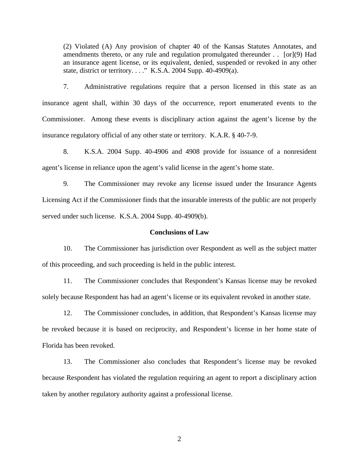(2) Violated (A) Any provision of chapter 40 of the Kansas Statutes Annotates, and amendments thereto, or any rule and regulation promulgated thereunder . . [or](9) Had an insurance agent license, or its equivalent, denied, suspended or revoked in any other state, district or territory. . . ." K.S.A. 2004 Supp. 40-4909(a).

7. Administrative regulations require that a person licensed in this state as an insurance agent shall, within 30 days of the occurrence, report enumerated events to the Commissioner. Among these events is disciplinary action against the agent's license by the insurance regulatory official of any other state or territory. K.A.R. § 40-7-9.

8. K.S.A. 2004 Supp. 40-4906 and 4908 provide for issuance of a nonresident agent's license in reliance upon the agent's valid license in the agent's home state.

9. The Commissioner may revoke any license issued under the Insurance Agents Licensing Act if the Commissioner finds that the insurable interests of the public are not properly served under such license. K.S.A. 2004 Supp. 40-4909(b).

#### **Conclusions of Law**

10. The Commissioner has jurisdiction over Respondent as well as the subject matter of this proceeding, and such proceeding is held in the public interest.

11. The Commissioner concludes that Respondent's Kansas license may be revoked solely because Respondent has had an agent's license or its equivalent revoked in another state.

12. The Commissioner concludes, in addition, that Respondent's Kansas license may be revoked because it is based on reciprocity, and Respondent's license in her home state of Florida has been revoked.

13. The Commissioner also concludes that Respondent's license may be revoked because Respondent has violated the regulation requiring an agent to report a disciplinary action taken by another regulatory authority against a professional license.

2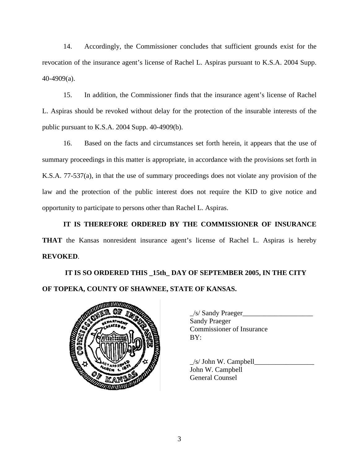14. Accordingly, the Commissioner concludes that sufficient grounds exist for the revocation of the insurance agent's license of Rachel L. Aspiras pursuant to K.S.A. 2004 Supp. 40-4909(a).

15. In addition, the Commissioner finds that the insurance agent's license of Rachel L. Aspiras should be revoked without delay for the protection of the insurable interests of the public pursuant to K.S.A. 2004 Supp. 40-4909(b).

16. Based on the facts and circumstances set forth herein, it appears that the use of summary proceedings in this matter is appropriate, in accordance with the provisions set forth in K.S.A. 77-537(a), in that the use of summary proceedings does not violate any provision of the law and the protection of the public interest does not require the KID to give notice and opportunity to participate to persons other than Rachel L. Aspiras.

**IT IS THEREFORE ORDERED BY THE COMMISSIONER OF INSURANCE THAT** the Kansas nonresident insurance agent's license of Rachel L. Aspiras is hereby **REVOKED**.

 **IT IS SO ORDERED THIS \_15th\_ DAY OF SEPTEMBER 2005, IN THE CITY OF TOPEKA, COUNTY OF SHAWNEE, STATE OF KANSAS.** 



| $\angle$ s/ Sandy Praeger        |
|----------------------------------|
| <b>Sandy Praeger</b>             |
| <b>Commissioner of Insurance</b> |
| BY:                              |
|                                  |

 $\angle$ s/ John W. Campbell $\angle$ John W. Campbell General Counsel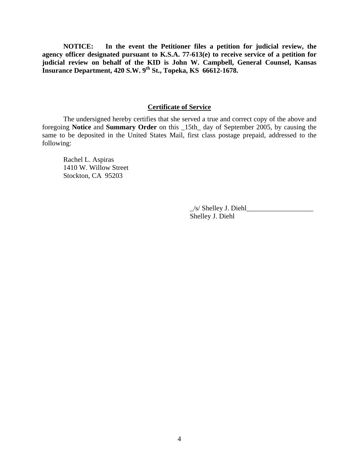**NOTICE: In the event the Petitioner files a petition for judicial review, the agency officer designated pursuant to K.S.A. 77-613(e) to receive service of a petition for judicial review on behalf of the KID is John W. Campbell, General Counsel, Kansas Insurance Department, 420 S.W. 9th St., Topeka, KS 66612-1678.** 

#### **Certificate of Service**

 The undersigned hereby certifies that she served a true and correct copy of the above and foregoing **Notice** and **Summary Order** on this \_15th\_ day of September 2005, by causing the same to be deposited in the United States Mail, first class postage prepaid, addressed to the following:

 Rachel L. Aspiras 1410 W. Willow Street Stockton, CA 95203

> $\angle$ s/ Shelley J. Diehl $\angle$ Shelley J. Diehl